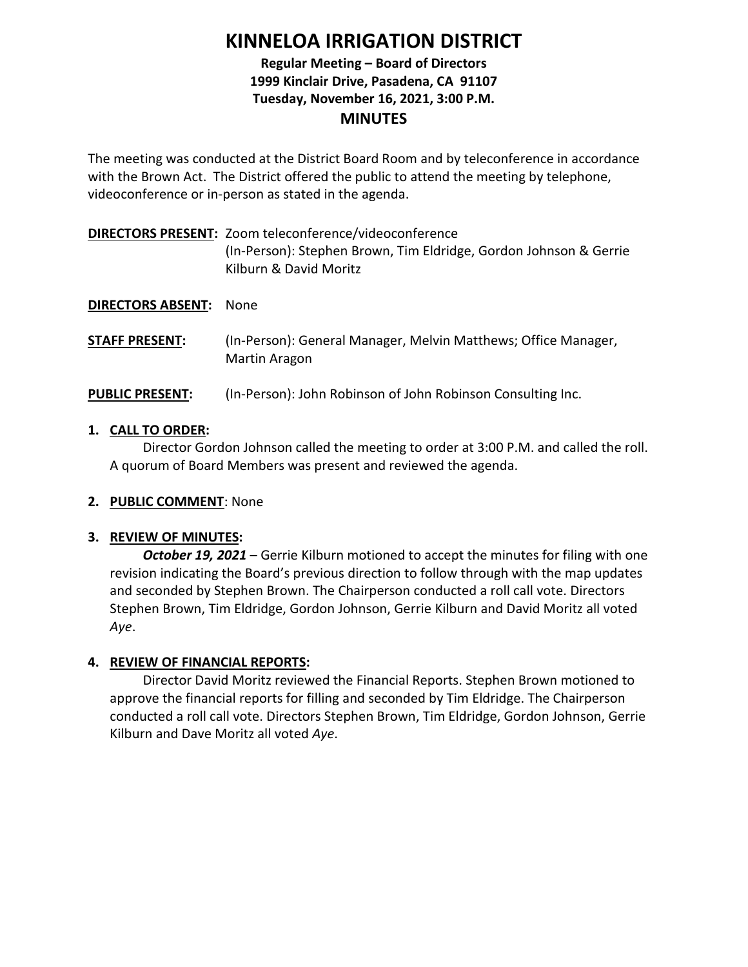# **KINNELOA IRRIGATION DISTRICT**

# **Regular Meeting – Board of Directors 1999 Kinclair Drive, Pasadena, CA 91107 Tuesday, November 16, 2021, 3:00 P.M. MINUTES**

The meeting was conducted at the District Board Room and by teleconference in accordance with the Brown Act. The District offered the public to attend the meeting by telephone, videoconference or in-person as stated in the agenda.

**DIRECTORS PRESENT:** Zoom teleconference/videoconference (In-Person): Stephen Brown, Tim Eldridge, Gordon Johnson & Gerrie Kilburn & David Moritz

**DIRECTORS ABSENT:** None

**STAFF PRESENT:** (In-Person): General Manager, Melvin Matthews; Office Manager, Martin Aragon

# **PUBLIC PRESENT:** (In-Person): John Robinson of John Robinson Consulting Inc.

# **1. CALL TO ORDER:**

Director Gordon Johnson called the meeting to order at 3:00 P.M. and called the roll. A quorum of Board Members was present and reviewed the agenda.

# **2. PUBLIC COMMENT**: None

# **3. REVIEW OF MINUTES:**

*October 19, 2021* – Gerrie Kilburn motioned to accept the minutes for filing with one revision indicating the Board's previous direction to follow through with the map updates and seconded by Stephen Brown. The Chairperson conducted a roll call vote. Directors Stephen Brown, Tim Eldridge, Gordon Johnson, Gerrie Kilburn and David Moritz all voted *Aye*.

# **4. REVIEW OF FINANCIAL REPORTS:**

Director David Moritz reviewed the Financial Reports. Stephen Brown motioned to approve the financial reports for filling and seconded by Tim Eldridge. The Chairperson conducted a roll call vote. Directors Stephen Brown, Tim Eldridge, Gordon Johnson, Gerrie Kilburn and Dave Moritz all voted *Aye*.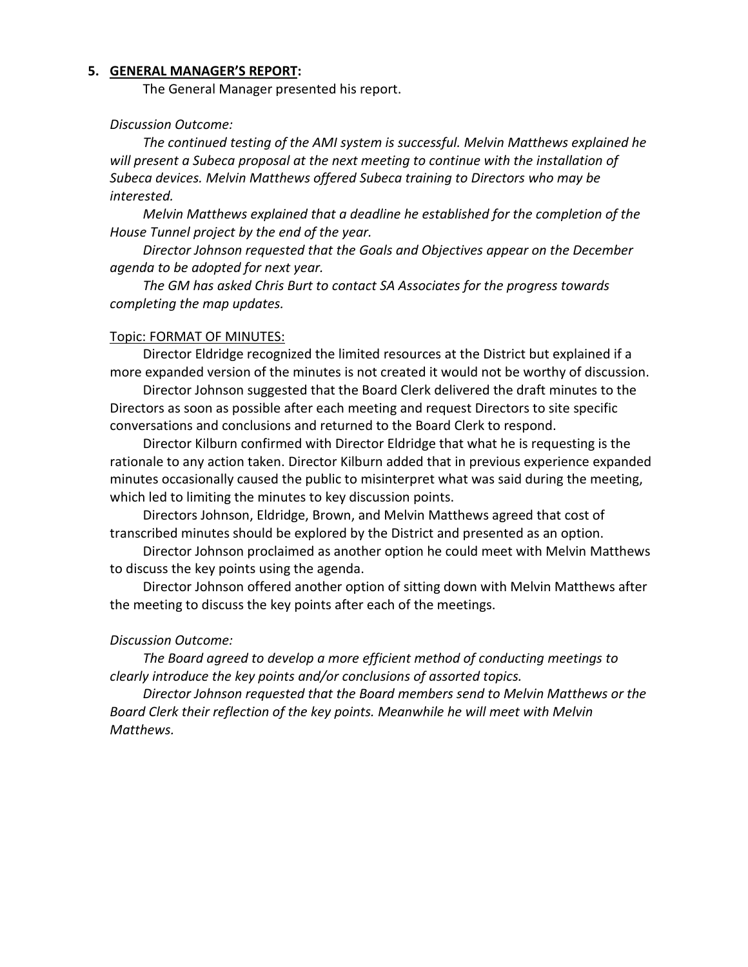#### **5. GENERAL MANAGER'S REPORT:**

The General Manager presented his report.

### *Discussion Outcome:*

*The continued testing of the AMI system is successful. Melvin Matthews explained he will present a Subeca proposal at the next meeting to continue with the installation of Subeca devices. Melvin Matthews offered Subeca training to Directors who may be interested.*

*Melvin Matthews explained that a deadline he established for the completion of the House Tunnel project by the end of the year.*

*Director Johnson requested that the Goals and Objectives appear on the December agenda to be adopted for next year.* 

*The GM has asked Chris Burt to contact SA Associates for the progress towards completing the map updates.*

#### Topic: FORMAT OF MINUTES:

Director Eldridge recognized the limited resources at the District but explained if a more expanded version of the minutes is not created it would not be worthy of discussion.

Director Johnson suggested that the Board Clerk delivered the draft minutes to the Directors as soon as possible after each meeting and request Directors to site specific conversations and conclusions and returned to the Board Clerk to respond.

Director Kilburn confirmed with Director Eldridge that what he is requesting is the rationale to any action taken. Director Kilburn added that in previous experience expanded minutes occasionally caused the public to misinterpret what was said during the meeting, which led to limiting the minutes to key discussion points.

Directors Johnson, Eldridge, Brown, and Melvin Matthews agreed that cost of transcribed minutes should be explored by the District and presented as an option.

Director Johnson proclaimed as another option he could meet with Melvin Matthews to discuss the key points using the agenda.

Director Johnson offered another option of sitting down with Melvin Matthews after the meeting to discuss the key points after each of the meetings.

#### *Discussion Outcome:*

*The Board agreed to develop a more efficient method of conducting meetings to clearly introduce the key points and/or conclusions of assorted topics.* 

*Director Johnson requested that the Board members send to Melvin Matthews or the Board Clerk their reflection of the key points. Meanwhile he will meet with Melvin Matthews.*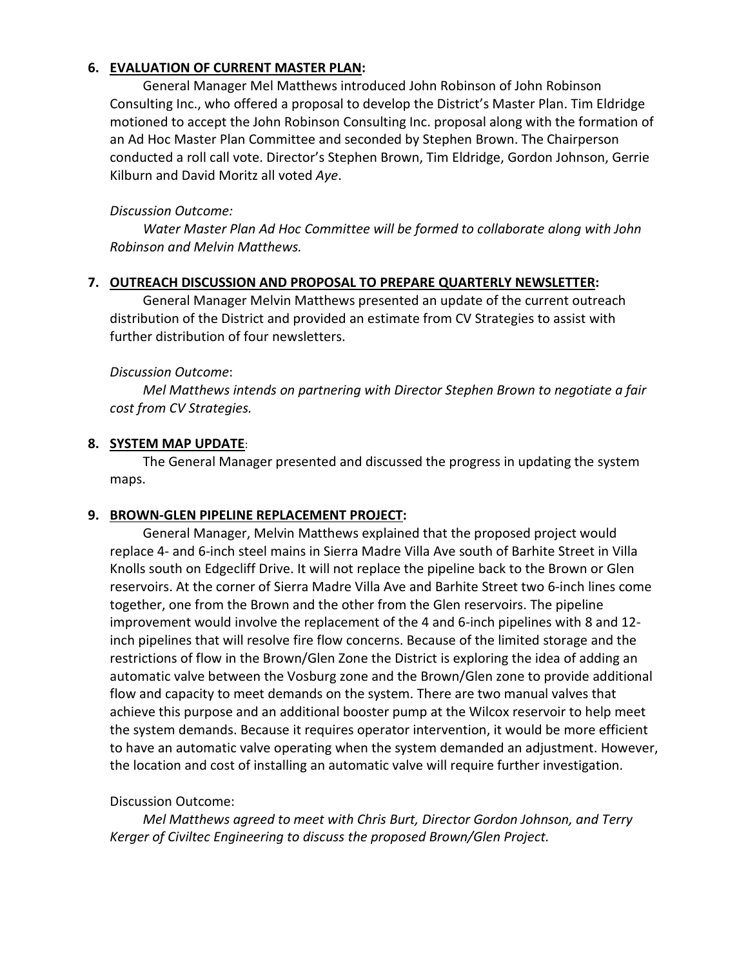## **6. EVALUATION OF CURRENT MASTER PLAN:**

General Manager Mel Matthews introduced John Robinson of John Robinson Consulting Inc., who offered a proposal to develop the District's Master Plan. Tim Eldridge motioned to accept the John Robinson Consulting Inc. proposal along with the formation of an Ad Hoc Master Plan Committee and seconded by Stephen Brown. The Chairperson conducted a roll call vote. Director's Stephen Brown, Tim Eldridge, Gordon Johnson, Gerrie Kilburn and David Moritz all voted *Aye*.

## *Discussion Outcome:*

*Water Master Plan Ad Hoc Committee will be formed to collaborate along with John Robinson and Melvin Matthews.*

### **7. OUTREACH DISCUSSION AND PROPOSAL TO PREPARE QUARTERLY NEWSLETTER:**

General Manager Melvin Matthews presented an update of the current outreach distribution of the District and provided an estimate from CV Strategies to assist with further distribution of four newsletters.

### *Discussion Outcome*:

*Mel Matthews intends on partnering with Director Stephen Brown to negotiate a fair cost from CV Strategies.*

### **8. SYSTEM MAP UPDATE**:

The General Manager presented and discussed the progress in updating the system maps.

## **9. BROWN-GLEN PIPELINE REPLACEMENT PROJECT:**

General Manager, Melvin Matthews explained that the proposed project would replace 4- and 6-inch steel mains in Sierra Madre Villa Ave south of Barhite Street in Villa Knolls south on Edgecliff Drive. It will not replace the pipeline back to the Brown or Glen reservoirs. At the corner of Sierra Madre Villa Ave and Barhite Street two 6-inch lines come together, one from the Brown and the other from the Glen reservoirs. The pipeline improvement would involve the replacement of the 4 and 6-inch pipelines with 8 and 12 inch pipelines that will resolve fire flow concerns. Because of the limited storage and the restrictions of flow in the Brown/Glen Zone the District is exploring the idea of adding an automatic valve between the Vosburg zone and the Brown/Glen zone to provide additional flow and capacity to meet demands on the system. There are two manual valves that achieve this purpose and an additional booster pump at the Wilcox reservoir to help meet the system demands. Because it requires operator intervention, it would be more efficient to have an automatic valve operating when the system demanded an adjustment. However, the location and cost of installing an automatic valve will require further investigation.

## Discussion Outcome:

*Mel Matthews agreed to meet with Chris Burt, Director Gordon Johnson, and Terry Kerger of Civiltec Engineering to discuss the proposed Brown/Glen Project.*